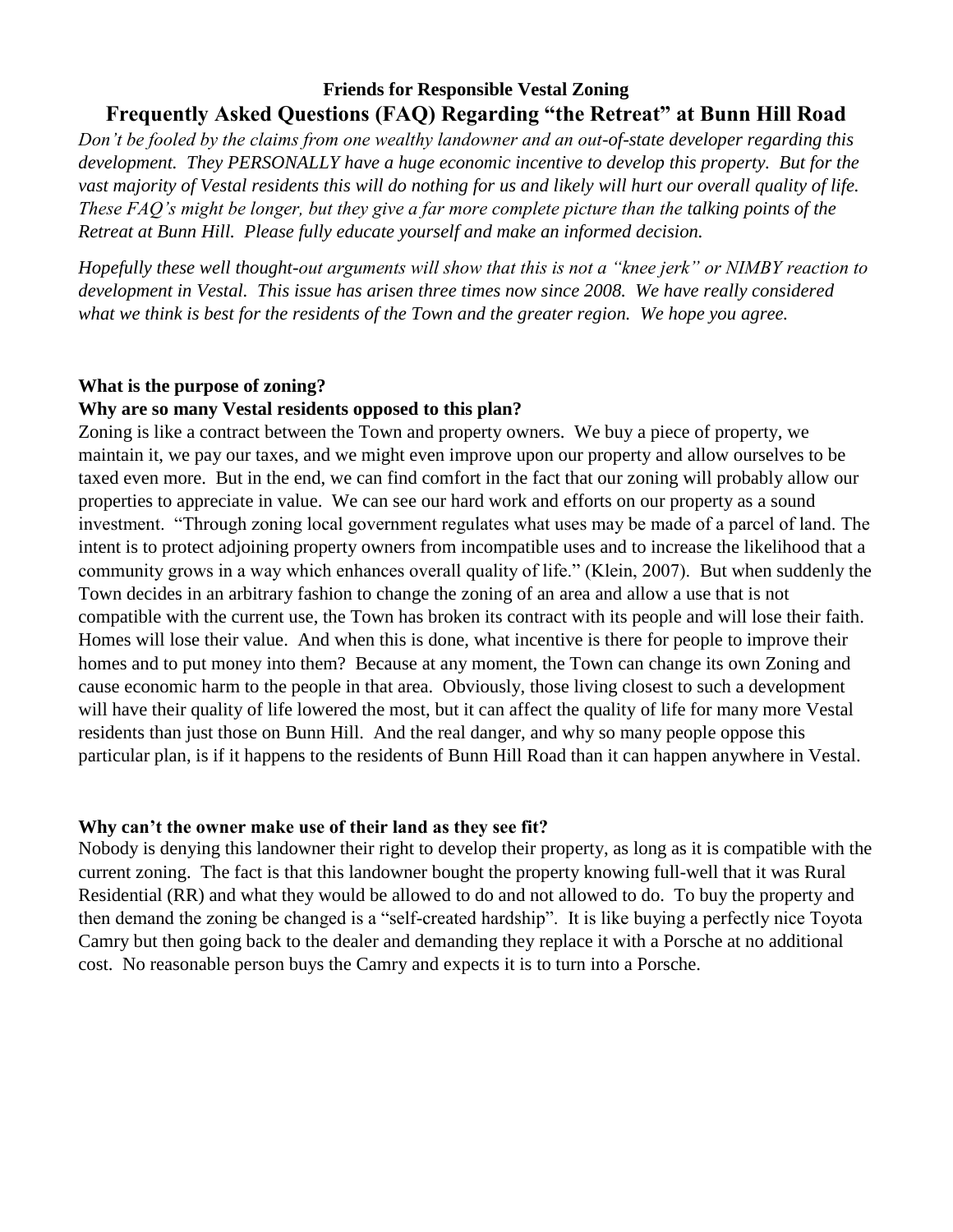# **Friends for Responsible Vestal Zoning Frequently Asked Questions (FAQ) Regarding "the Retreat" at Bunn Hill Road**

*Don't be fooled by the claims from one wealthy landowner and an out-of-state developer regarding this development. They PERSONALLY have a huge economic incentive to develop this property. But for the vast majority of Vestal residents this will do nothing for us and likely will hurt our overall quality of life. These FAQ's might be longer, but they give a far more complete picture than the talking points of the Retreat at Bunn Hill. Please fully educate yourself and make an informed decision.*

*Hopefully these well thought-out arguments will show that this is not a "knee jerk" or NIMBY reaction to development in Vestal. This issue has arisen three times now since 2008. We have really considered what we think is best for the residents of the Town and the greater region. We hope you agree.*

### **What is the purpose of zoning?**

#### **Why are so many Vestal residents opposed to this plan?**

Zoning is like a contract between the Town and property owners. We buy a piece of property, we maintain it, we pay our taxes, and we might even improve upon our property and allow ourselves to be taxed even more. But in the end, we can find comfort in the fact that our zoning will probably allow our properties to appreciate in value. We can see our hard work and efforts on our property as a sound investment. "Through zoning local government regulates what uses may be made of a parcel of land. The intent is to protect adjoining property owners from incompatible uses and to increase the likelihood that a community grows in a way which enhances overall quality of life." (Klein, 2007). But when suddenly the Town decides in an arbitrary fashion to change the zoning of an area and allow a use that is not compatible with the current use, the Town has broken its contract with its people and will lose their faith. Homes will lose their value. And when this is done, what incentive is there for people to improve their homes and to put money into them? Because at any moment, the Town can change its own Zoning and cause economic harm to the people in that area. Obviously, those living closest to such a development will have their quality of life lowered the most, but it can affect the quality of life for many more Vestal residents than just those on Bunn Hill. And the real danger, and why so many people oppose this particular plan, is if it happens to the residents of Bunn Hill Road than it can happen anywhere in Vestal.

### **Why can't the owner make use of their land as they see fit?**

Nobody is denying this landowner their right to develop their property, as long as it is compatible with the current zoning. The fact is that this landowner bought the property knowing full-well that it was Rural Residential (RR) and what they would be allowed to do and not allowed to do. To buy the property and then demand the zoning be changed is a "self-created hardship". It is like buying a perfectly nice Toyota Camry but then going back to the dealer and demanding they replace it with a Porsche at no additional cost. No reasonable person buys the Camry and expects it is to turn into a Porsche.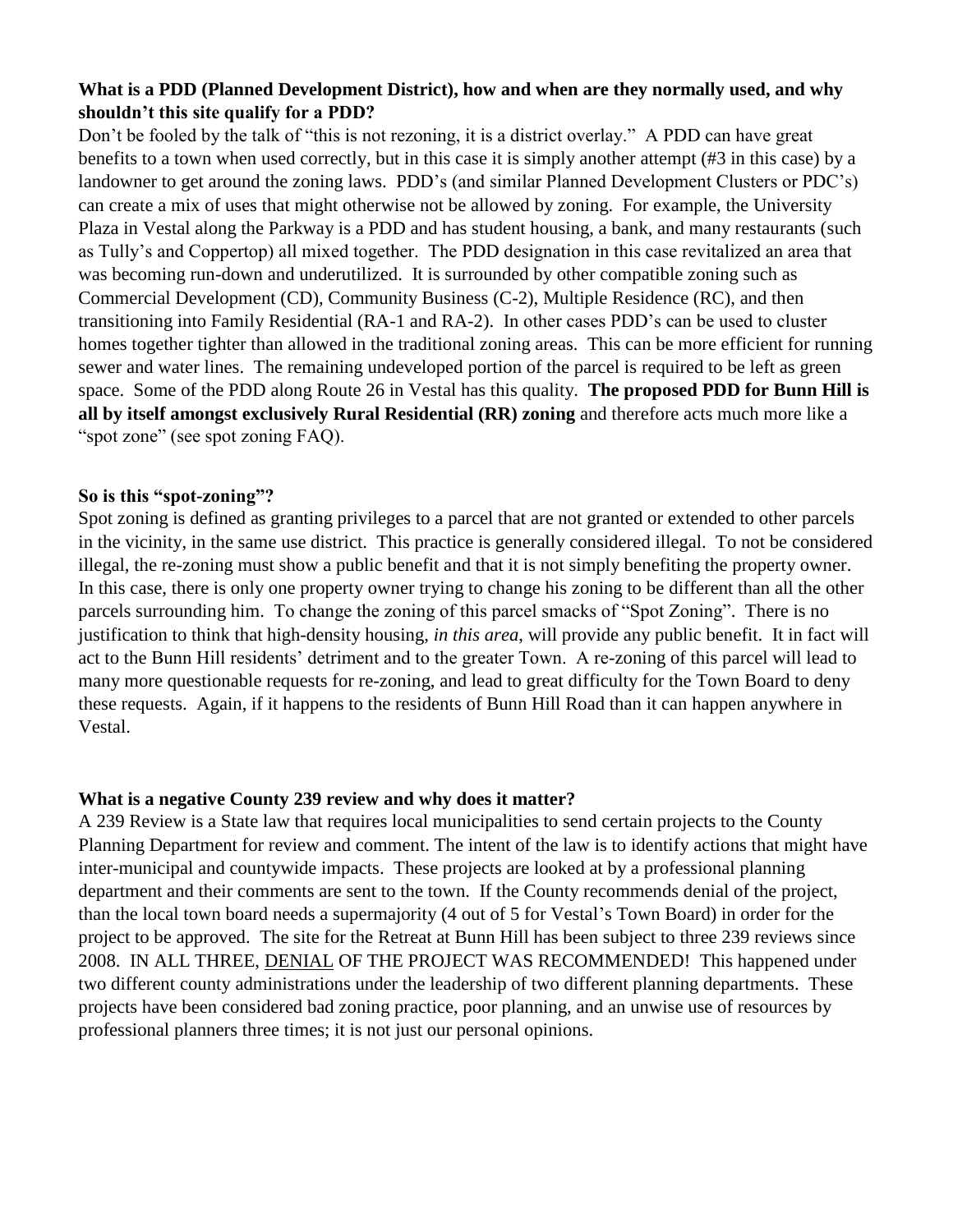## **What is a PDD (Planned Development District), how and when are they normally used, and why shouldn't this site qualify for a PDD?**

Don't be fooled by the talk of "this is not rezoning, it is a district overlay." A PDD can have great benefits to a town when used correctly, but in this case it is simply another attempt (#3 in this case) by a landowner to get around the zoning laws. PDD's (and similar Planned Development Clusters or PDC's) can create a mix of uses that might otherwise not be allowed by zoning. For example, the University Plaza in Vestal along the Parkway is a PDD and has student housing, a bank, and many restaurants (such as Tully's and Coppertop) all mixed together. The PDD designation in this case revitalized an area that was becoming run-down and underutilized. It is surrounded by other compatible zoning such as Commercial Development (CD), Community Business (C-2), Multiple Residence (RC), and then transitioning into Family Residential (RA-1 and RA-2). In other cases PDD's can be used to cluster homes together tighter than allowed in the traditional zoning areas. This can be more efficient for running sewer and water lines. The remaining undeveloped portion of the parcel is required to be left as green space. Some of the PDD along Route 26 in Vestal has this quality. **The proposed PDD for Bunn Hill is all by itself amongst exclusively Rural Residential (RR) zoning** and therefore acts much more like a "spot zone" (see spot zoning FAQ).

### **So is this "spot-zoning"?**

Spot zoning is defined as granting privileges to a parcel that are not granted or extended to other parcels in the vicinity, in the same use district. This practice is generally considered illegal. To not be considered illegal, the re-zoning must show a public benefit and that it is not simply benefiting the property owner. In this case, there is only one property owner trying to change his zoning to be different than all the other parcels surrounding him. To change the zoning of this parcel smacks of "Spot Zoning". There is no justification to think that high-density housing, *in this area*, will provide any public benefit. It in fact will act to the Bunn Hill residents' detriment and to the greater Town. A re-zoning of this parcel will lead to many more questionable requests for re-zoning, and lead to great difficulty for the Town Board to deny these requests. Again, if it happens to the residents of Bunn Hill Road than it can happen anywhere in Vestal.

## **What is a negative County 239 review and why does it matter?**

A 239 Review is a State law that requires local municipalities to send certain projects to the County Planning Department for review and comment. The intent of the law is to identify actions that might have inter-municipal and countywide impacts. These projects are looked at by a professional planning department and their comments are sent to the town. If the County recommends denial of the project, than the local town board needs a supermajority (4 out of 5 for Vestal's Town Board) in order for the project to be approved. The site for the Retreat at Bunn Hill has been subject to three 239 reviews since 2008. IN ALL THREE, DENIAL OF THE PROJECT WAS RECOMMENDED! This happened under two different county administrations under the leadership of two different planning departments. These projects have been considered bad zoning practice, poor planning, and an unwise use of resources by professional planners three times; it is not just our personal opinions.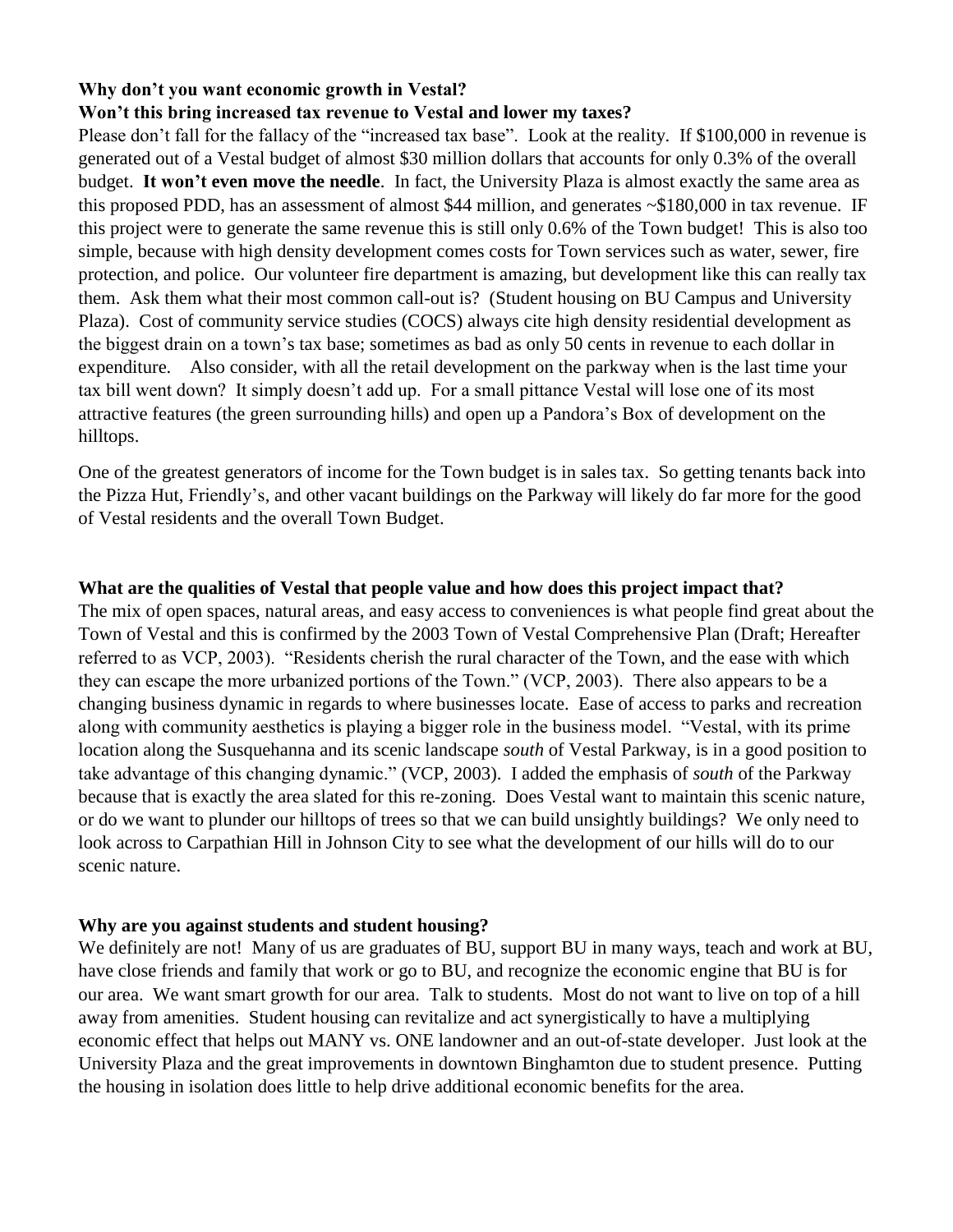# **Why don't you want economic growth in Vestal?**

### **Won't this bring increased tax revenue to Vestal and lower my taxes?**

Please don't fall for the fallacy of the "increased tax base". Look at the reality. If \$100,000 in revenue is generated out of a Vestal budget of almost \$30 million dollars that accounts for only 0.3% of the overall budget. **It won't even move the needle**. In fact, the University Plaza is almost exactly the same area as this proposed PDD, has an assessment of almost \$44 million, and generates ~\$180,000 in tax revenue. IF this project were to generate the same revenue this is still only 0.6% of the Town budget! This is also too simple, because with high density development comes costs for Town services such as water, sewer, fire protection, and police. Our volunteer fire department is amazing, but development like this can really tax them. Ask them what their most common call-out is? (Student housing on BU Campus and University Plaza). Cost of community service studies (COCS) always cite high density residential development as the biggest drain on a town's tax base; sometimes as bad as only 50 cents in revenue to each dollar in expenditure. Also consider, with all the retail development on the parkway when is the last time your tax bill went down? It simply doesn't add up. For a small pittance Vestal will lose one of its most attractive features (the green surrounding hills) and open up a Pandora's Box of development on the hilltops.

One of the greatest generators of income for the Town budget is in sales tax. So getting tenants back into the Pizza Hut, Friendly's, and other vacant buildings on the Parkway will likely do far more for the good of Vestal residents and the overall Town Budget.

### **What are the qualities of Vestal that people value and how does this project impact that?**

The mix of open spaces, natural areas, and easy access to conveniences is what people find great about the Town of Vestal and this is confirmed by the 2003 Town of Vestal Comprehensive Plan (Draft; Hereafter referred to as VCP, 2003). "Residents cherish the rural character of the Town, and the ease with which they can escape the more urbanized portions of the Town." (VCP, 2003). There also appears to be a changing business dynamic in regards to where businesses locate. Ease of access to parks and recreation along with community aesthetics is playing a bigger role in the business model. "Vestal, with its prime location along the Susquehanna and its scenic landscape *south* of Vestal Parkway, is in a good position to take advantage of this changing dynamic." (VCP, 2003). I added the emphasis of *south* of the Parkway because that is exactly the area slated for this re-zoning. Does Vestal want to maintain this scenic nature, or do we want to plunder our hilltops of trees so that we can build unsightly buildings? We only need to look across to Carpathian Hill in Johnson City to see what the development of our hills will do to our scenic nature.

### **Why are you against students and student housing?**

We definitely are not! Many of us are graduates of BU, support BU in many ways, teach and work at BU, have close friends and family that work or go to BU, and recognize the economic engine that BU is for our area. We want smart growth for our area. Talk to students. Most do not want to live on top of a hill away from amenities. Student housing can revitalize and act synergistically to have a multiplying economic effect that helps out MANY vs. ONE landowner and an out-of-state developer. Just look at the University Plaza and the great improvements in downtown Binghamton due to student presence. Putting the housing in isolation does little to help drive additional economic benefits for the area.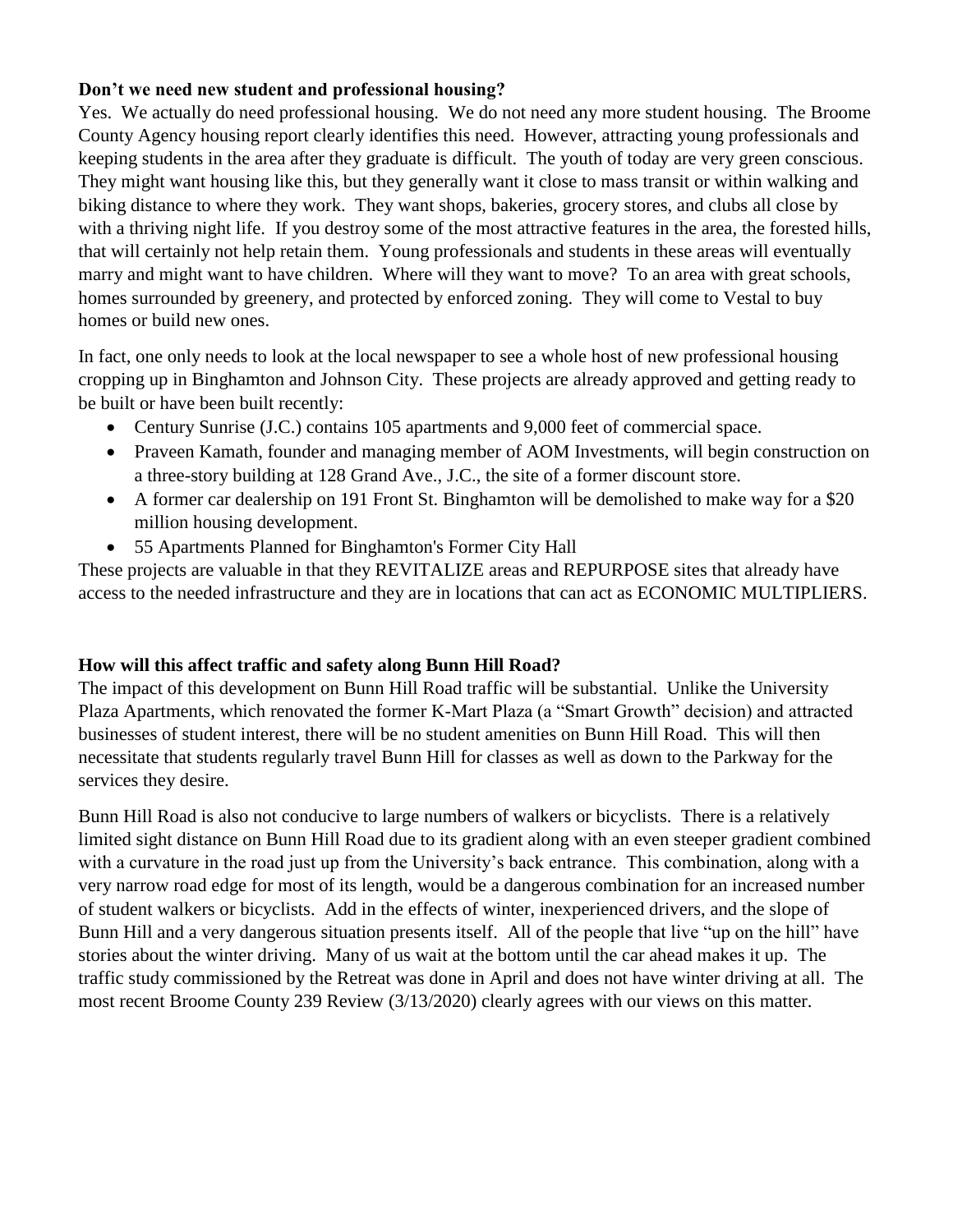## **Don't we need new student and professional housing?**

Yes. We actually do need professional housing. We do not need any more student housing. The Broome County Agency housing report clearly identifies this need. However, attracting young professionals and keeping students in the area after they graduate is difficult. The youth of today are very green conscious. They might want housing like this, but they generally want it close to mass transit or within walking and biking distance to where they work. They want shops, bakeries, grocery stores, and clubs all close by with a thriving night life. If you destroy some of the most attractive features in the area, the forested hills, that will certainly not help retain them. Young professionals and students in these areas will eventually marry and might want to have children. Where will they want to move? To an area with great schools, homes surrounded by greenery, and protected by enforced zoning. They will come to Vestal to buy homes or build new ones.

In fact, one only needs to look at the local newspaper to see a whole host of new professional housing cropping up in Binghamton and Johnson City. These projects are already approved and getting ready to be built or have been built recently:

- Century Sunrise (J.C.) contains 105 apartments and 9,000 feet of commercial space.
- Praveen Kamath, founder and managing member of AOM Investments, will begin construction on a three-story building at 128 Grand Ave., J.C., the site of a former discount store.
- A former car dealership on 191 Front St. Binghamton will be demolished to make way for a \$20 million housing development.
- 55 Apartments Planned for Binghamton's Former City Hall

These projects are valuable in that they REVITALIZE areas and REPURPOSE sites that already have access to the needed infrastructure and they are in locations that can act as ECONOMIC MULTIPLIERS.

## **How will this affect traffic and safety along Bunn Hill Road?**

The impact of this development on Bunn Hill Road traffic will be substantial. Unlike the University Plaza Apartments, which renovated the former K-Mart Plaza (a "Smart Growth" decision) and attracted businesses of student interest, there will be no student amenities on Bunn Hill Road. This will then necessitate that students regularly travel Bunn Hill for classes as well as down to the Parkway for the services they desire.

Bunn Hill Road is also not conducive to large numbers of walkers or bicyclists. There is a relatively limited sight distance on Bunn Hill Road due to its gradient along with an even steeper gradient combined with a curvature in the road just up from the University's back entrance. This combination, along with a very narrow road edge for most of its length, would be a dangerous combination for an increased number of student walkers or bicyclists. Add in the effects of winter, inexperienced drivers, and the slope of Bunn Hill and a very dangerous situation presents itself. All of the people that live "up on the hill" have stories about the winter driving. Many of us wait at the bottom until the car ahead makes it up. The traffic study commissioned by the Retreat was done in April and does not have winter driving at all. The most recent Broome County 239 Review (3/13/2020) clearly agrees with our views on this matter.